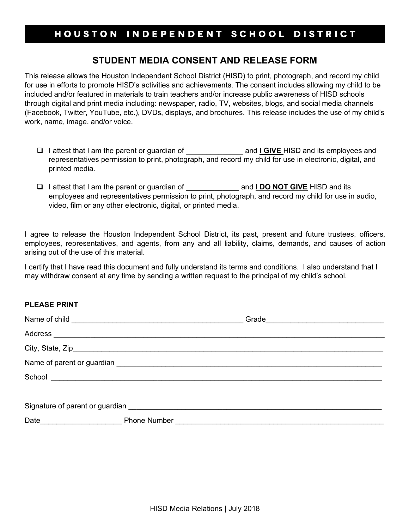## HOUSTON INDEPENDENT SCHOOL DISTRICT

## **STUDENT MEDIA CONSENT AND RELEASE FORM**

This release allows the Houston Independent School District (HISD) to print, photograph, and record my child for use in efforts to promote HISD's activities and achievements. The consent includes allowing my child to be included and/or featured in materials to train teachers and/or increase public awareness of HISD schools through digital and print media including: newspaper, radio, TV, websites, blogs, and social media channels (Facebook, Twitter, YouTube, etc.), DVDs, displays, and brochures. This release includes the use of my child's work, name, image, and/or voice.

- □ I attest that I am the parent or guardian of \_\_\_\_\_\_\_\_\_\_\_\_\_\_\_\_\_\_ and I GIVE HISD and its employees and representatives permission to print, photograph, and record my child for use in electronic, digital, and printed media.
- □ I attest that I am the parent or guardian of **and I DO NOT GIVE** HISD and its employees and representatives permission to print, photograph, and record my child for use in audio, video, film or any other electronic, digital, or printed media.

I agree to release the Houston Independent School District, its past, present and future trustees, officers, employees, representatives, and agents, from any and all liability, claims, demands, and causes of action arising out of the use of this material.

I certify that I have read this document and fully understand its terms and conditions. I also understand that I may withdraw consent at any time by sending a written request to the principal of my child's school.

## **PLEASE PRINT**

| <u> 1990 - Johann Barbara, martin a</u><br>Date | <b>Phone Number</b> |  |  |
|-------------------------------------------------|---------------------|--|--|